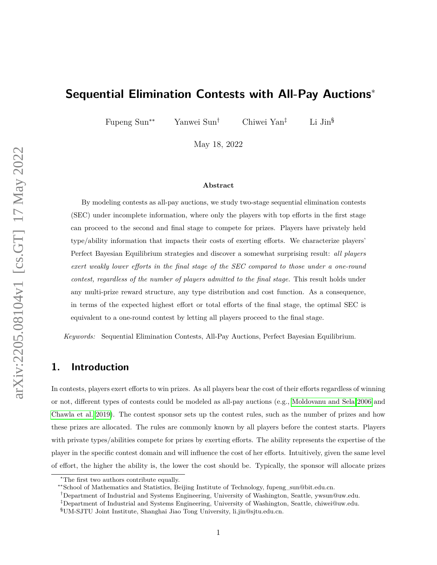# **Sequential Elimination Contests with All-Pay Auctions**<sup>∗</sup>

Fupeng Sun∗∗ Yanwei Sun† Chiwei Yan‡ Li Jin§

May 18, 2022

#### **Abstract**

By modeling contests as all-pay auctions, we study two-stage sequential elimination contests (SEC) under incomplete information, where only the players with top efforts in the first stage can proceed to the second and final stage to compete for prizes. Players have privately held type/ability information that impacts their costs of exerting efforts. We characterize players' Perfect Bayesian Equilibrium strategies and discover a somewhat surprising result: *all players exert weakly lower efforts in the final stage of the SEC compared to those under a one-round contest, regardless of the number of players admitted to the final stage.* This result holds under any multi-prize reward structure, any type distribution and cost function. As a consequence, in terms of the expected highest effort or total efforts of the final stage, the optimal SEC is equivalent to a one-round contest by letting all players proceed to the final stage.

*Keywords:* Sequential Elimination Contests, All-Pay Auctions, Perfect Bayesian Equilibrium.

## **1. Introduction**

In contests, players exert efforts to win prizes. As all players bear the cost of their efforts regardless of winning or not, different types of contests could be modeled as all-pay auctions (e.g., [Moldovanu and Sela 2006](#page-22-0) and [Chawla et al. 2019\)](#page-21-0). The contest sponsor sets up the contest rules, such as the number of prizes and how these prizes are allocated. The rules are commonly known by all players before the contest starts. Players with private types/abilities compete for prizes by exerting efforts. The ability represents the expertise of the player in the specific contest domain and will influence the cost of her efforts. Intuitively, given the same level of effort, the higher the ability is, the lower the cost should be. Typically, the sponsor will allocate prizes

<sup>∗</sup>The first two authors contribute equally.

<sup>∗∗</sup>School of Mathematics and Statistics, Beijing Institute of Technology, fupeng\_sun@bit.edu.cn.

<sup>†</sup>Department of Industrial and Systems Engineering, University of Washington, Seattle, ywsun@uw.edu.

<sup>‡</sup>Department of Industrial and Systems Engineering, University of Washington, Seattle, chiwei@uw.edu.

<sup>§</sup>UM-SJTU Joint Institute, Shanghai Jiao Tong University, li.jin@sjtu.edu.cn.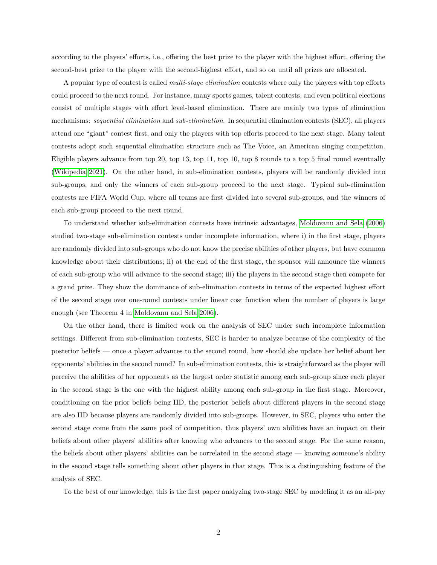according to the players' efforts, i.e., offering the best prize to the player with the highest effort, offering the second-best prize to the player with the second-highest effort, and so on until all prizes are allocated.

A popular type of contest is called *multi-stage elimination* contests where only the players with top efforts could proceed to the next round. For instance, many sports games, talent contests, and even political elections consist of multiple stages with effort level-based elimination. There are mainly two types of elimination mechanisms: *sequential elimination* and *sub-elimination*. In sequential elimination contests (SEC), all players attend one "giant" contest first, and only the players with top efforts proceed to the next stage. Many talent contests adopt such sequential elimination structure such as The Voice, an American singing competition. Eligible players advance from top 20, top 13, top 11, top 10, top 8 rounds to a top 5 final round eventually [\(Wikipedia 2021\)](#page-22-1). On the other hand, in sub-elimination contests, players will be randomly divided into sub-groups, and only the winners of each sub-group proceed to the next stage. Typical sub-elimination contests are FIFA World Cup, where all teams are first divided into several sub-groups, and the winners of each sub-group proceed to the next round.

To understand whether sub-elimination contests have intrinsic advantages, [Moldovanu and Sela](#page-22-0) [\(2006\)](#page-22-0) studied two-stage sub-elimination contests under incomplete information, where i) in the first stage, players are randomly divided into sub-groups who do not know the precise abilities of other players, but have common knowledge about their distributions; ii) at the end of the first stage, the sponsor will announce the winners of each sub-group who will advance to the second stage; iii) the players in the second stage then compete for a grand prize. They show the dominance of sub-elimination contests in terms of the expected highest effort of the second stage over one-round contests under linear cost function when the number of players is large enough (see Theorem 4 in [Moldovanu and Sela 2006\)](#page-22-0).

On the other hand, there is limited work on the analysis of SEC under such incomplete information settings. Different from sub-elimination contests, SEC is harder to analyze because of the complexity of the posterior beliefs — once a player advances to the second round, how should she update her belief about her opponents' abilities in the second round? In sub-elimination contests, this is straightforward as the player will perceive the abilities of her opponents as the largest order statistic among each sub-group since each player in the second stage is the one with the highest ability among each sub-group in the first stage. Moreover, conditioning on the prior beliefs being IID, the posterior beliefs about different players in the second stage are also IID because players are randomly divided into sub-groups. However, in SEC, players who enter the second stage come from the same pool of competition, thus players' own abilities have an impact on their beliefs about other players' abilities after knowing who advances to the second stage. For the same reason, the beliefs about other players' abilities can be correlated in the second stage — knowing someone's ability in the second stage tells something about other players in that stage. This is a distinguishing feature of the analysis of SEC.

To the best of our knowledge, this is the first paper analyzing two-stage SEC by modeling it as an all-pay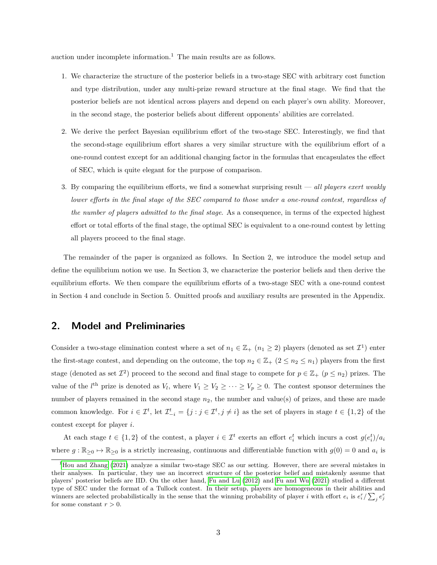auction under incomplete information.<sup>1</sup> The main results are as follows.

- 1. We characterize the structure of the posterior beliefs in a two-stage SEC with arbitrary cost function and type distribution, under any multi-prize reward structure at the final stage. We find that the posterior beliefs are not identical across players and depend on each player's own ability. Moreover, in the second stage, the posterior beliefs about different opponents' abilities are correlated.
- 2. We derive the perfect Bayesian equilibrium effort of the two-stage SEC. Interestingly, we find that the second-stage equilibrium effort shares a very similar structure with the equilibrium effort of a one-round contest except for an additional changing factor in the formulas that encapsulates the effect of SEC, which is quite elegant for the purpose of comparison.
- 3. By comparing the equilibrium efforts, we find a somewhat surprising result *all players exert weakly lower efforts in the final stage of the SEC compared to those under a one-round contest, regardless of the number of players admitted to the final stage*. As a consequence, in terms of the expected highest effort or total efforts of the final stage, the optimal SEC is equivalent to a one-round contest by letting all players proceed to the final stage.

The remainder of the paper is organized as follows. In Section 2, we introduce the model setup and define the equilibrium notion we use. In Section 3, we characterize the posterior beliefs and then derive the equilibrium efforts. We then compare the equilibrium efforts of a two-stage SEC with a one-round contest in Section 4 and conclude in Section 5. Omitted proofs and auxiliary results are presented in the Appendix.

### **2. Model and Preliminaries**

Consider a two-stage elimination contest where a set of  $n_1 \in \mathbb{Z}_+$  ( $n_1 \geq 2$ ) players (denoted as set  $\mathcal{I}^1$ ) enter the first-stage contest, and depending on the outcome, the top  $n_2 \in \mathbb{Z}_+$   $(2 \leq n_2 \leq n_1)$  players from the first stage (denoted as set  $\mathcal{I}^2$ ) proceed to the second and final stage to compete for  $p \in \mathbb{Z}_+$  ( $p \leq n_2$ ) prizes. The value of the *l*<sup>th</sup> prize is denoted as  $V_l$ , where  $V_1 \ge V_2 \ge \cdots \ge V_p \ge 0$ . The contest sponsor determines the number of players remained in the second stage  $n_2$ , the number and value(s) of prizes, and these are made common knowledge. For  $i \in \mathcal{I}^t$ , let  $\mathcal{I}_{-i}^t = \{j : j \in \mathcal{I}^t, j \neq i\}$  as the set of players in stage  $t \in \{1,2\}$  of the contest except for player *i*.

At each stage  $t \in \{1,2\}$  of the contest, a player  $i \in \mathcal{I}^t$  exerts an effort  $e_i^t$  which incurs a cost  $g(e_i^t)/a_i$ where  $g : \mathbb{R}_{\geq 0} \to \mathbb{R}_{\geq 0}$  is a strictly increasing, continuous and differentiable function with  $g(0) = 0$  and  $a_i$  is

<sup>&</sup>lt;sup>1</sup>[Hou and Zhang](#page-22-2) [\(2021\)](#page-22-2) analyze a similar two-stage SEC as our setting. However, there are several mistakes in their analyses. In particular, they use an incorrect structure of the posterior belief and mistakenly assume that players' posterior beliefs are IID. On the other hand, [Fu and Lu](#page-21-1) [\(2012\)](#page-21-1) and [Fu and Wu](#page-21-2) [\(2021\)](#page-21-2) studied a different type of SEC under the format of a Tullock contest. In their setup, players are homogeneous in their abilities and winners are selected probabilistically in the sense that the winning probability of player *i* with effort  $e_i$  is  $e_i^r / \sum_j e_j^r$ for some constant  $r > 0$ .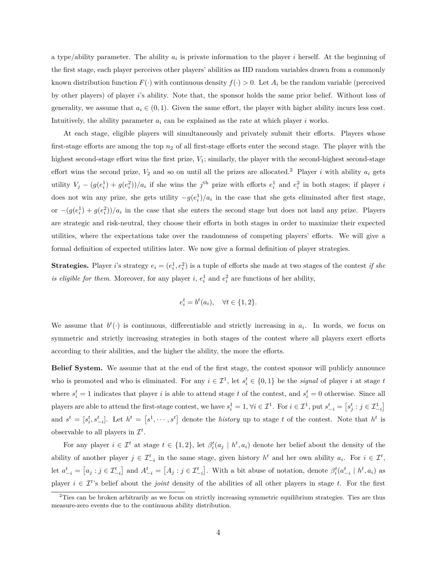a type/ability parameter. The ability  $a_i$  is private information to the player *i* herself. At the beginning of the first stage, each player perceives other players' abilities as IID random variables drawn from a commonly known distribution function  $F(\cdot)$  with continuous density  $f(\cdot) > 0$ . Let  $A_i$  be the random variable (perceived by other players) of player *i*'s ability. Note that, the sponsor holds the same prior belief. Without loss of generality, we assume that  $a_i \in (0,1)$ . Given the same effort, the player with higher ability incurs less cost. Intuitively, the ability parameter  $a_i$  can be explained as the rate at which player  $i$  works.

At each stage, eligible players will simultaneously and privately submit their efforts. Players whose first-stage efforts are among the top  $n_2$  of all first-stage efforts enter the second stage. The player with the highest second-stage effort wins the first prize,  $V_1$ ; similarly, the player with the second-highest second-stage effort wins the second prize,  $V_2$  and so on until all the prizes are allocated.<sup>2</sup> Player *i* with ability  $a_i$  gets utility  $V_j - (g(e_i^1) + g(e_i^2))/a_i$  if she wins the j<sup>th</sup> prize with efforts  $e_i^1$  and  $e_i^2$  in both stages; if player i does not win any prize, she gets utility  $-g(e_i^1)/a_i$  in the case that she gets eliminated after first stage, or  $-(g(e_i^1) + g(e_i^2))/a_i$  in the case that she enters the second stage but does not land any prize. Players are strategic and risk-neutral, they choose their efforts in both stages in order to maximize their expected utilities, where the expectations take over the randomness of competing players' efforts. We will give a formal definition of expected utilities later. We now give a formal definition of player strategies.

**Strategies.** Player *i*'s strategy  $e_i = (e_i^1, e_i^2)$  is a tuple of efforts she made at two stages of the contest *if she is eligible for them.* Moreover, for any player *i*,  $e_i^1$  and  $e_i^2$  are functions of her ability,

$$
e_i^t = b^t(a_i), \quad \forall t \in \{1, 2\}.
$$

We assume that  $b^t(\cdot)$  is continuous, differentiable and strictly increasing in  $a_i$ . In words, we focus on symmetric and strictly increasing strategies in both stages of the contest where all players exert efforts according to their abilities, and the higher the ability, the more the efforts.

**Belief System.** We assume that at the end of the first stage, the contest sponsor will publicly announce who is promoted and who is eliminated. For any  $i \in \mathcal{I}^1$ , let  $s_i^t \in \{0,1\}$  be the *signal* of player *i* at stage *t* where  $s_i^t = 1$  indicates that player *i* is able to attend stage *t* of the contest, and  $s_i^t = 0$  otherwise. Since all players are able to attend the first-stage contest, we have  $s_i^1 = 1$ ,  $\forall i \in \mathcal{I}^1$ . For  $i \in \mathcal{I}^1$ , put  $s_{-i}^t = [s_j^t : j \in \mathcal{I}_{-i}^1]$ and  $s^t = [s_i^t, s_{-i}^t]$ . Let  $h^t = [s^1, \dots, s^t]$  denote the *history* up to stage t of the contest. Note that  $h^t$  is observable to all players in  $\mathcal{I}^t$ .

For any player  $i \in \mathcal{I}^t$  at stage  $t \in \{1,2\}$ , let  $\beta_i^t(a_j \mid h^t, a_i)$  denote her belief about the density of the ability of another player  $j \in \mathcal{I}_{-i}^t$  in the same stage, given history  $h^t$  and her own ability  $a_i$ . For  $i \in \mathcal{I}^t$ , let  $a_{-i}^t = [a_j : j \in \mathcal{I}_{-i}^t]$  and  $A_{-i}^t = [A_j : j \in \mathcal{I}_{-i}^t]$ . With a bit abuse of notation, denote  $\beta_i^t(a_{-i}^t | h^t, a_i)$  as player  $i \in \mathcal{I}^{t}$  belief about the *joint* density of the abilities of all other players in stage *t*. For the first

 $2$ Ties can be broken arbitrarily as we focus on strictly increasing symmetric equilibrium strategies. Ties are thus measure-zero events due to the continuous ability distribution.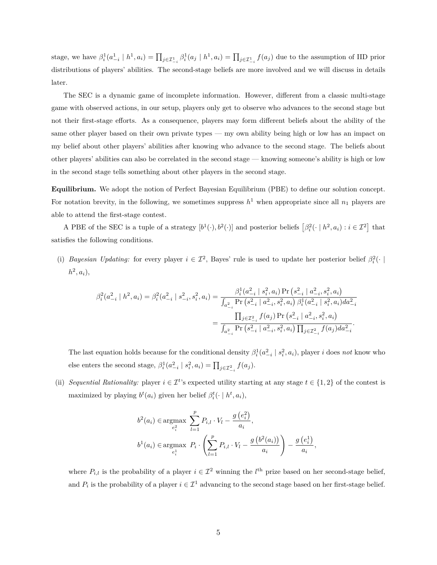stage, we have  $\beta_i^1(a_{-i}^1 \mid h^1, a_i) = \prod_{j \in \mathcal{I}_{-i}^1} \beta_i^1(a_j \mid h^1, a_i) = \prod_{j \in \mathcal{I}_{-i}^1} f(a_j)$  due to the assumption of IID prior distributions of players' abilities. The second-stage beliefs are more involved and we will discuss in details later.

The SEC is a dynamic game of incomplete information. However, different from a classic multi-stage game with observed actions, in our setup, players only get to observe who advances to the second stage but not their first-stage efforts. As a consequence, players may form different beliefs about the ability of the same other player based on their own private types — my own ability being high or low has an impact on my belief about other players' abilities after knowing who advance to the second stage. The beliefs about other players' abilities can also be correlated in the second stage — knowing someone's ability is high or low in the second stage tells something about other players in the second stage.

**Equilibrium.** We adopt the notion of Perfect Bayesian Equilibrium (PBE) to define our solution concept. For notation brevity, in the following, we sometimes suppress  $h<sup>1</sup>$  when appropriate since all  $n<sub>1</sub>$  players are able to attend the first-stage contest.

A PBE of the SEC is a tuple of a strategy  $[b^1(\cdot), b^2(\cdot)]$  and posterior beliefs  $[\beta_i^2(\cdot \mid h^2, a_i) : i \in \mathcal{I}^2]$  that satisfies the following conditions.

(i) *Bayesian Updating:* for every player  $i \in \mathcal{I}^2$ , Bayes' rule is used to update her posterior belief  $\beta_i^2(\cdot |$  $h^2, a_i),$ 

$$
\beta_i^2(a_{-i}^2 \mid h^2, a_i) = \beta_i^2(a_{-i}^2 \mid s_{-i}^2, s_i^2, a_i) = \frac{\beta_i^1(a_{-i}^2 \mid s_i^2, a_i) \Pr\left(s_{-i}^2 \mid a_{-i}^2, s_i^2, a_i\right)}{\int_{a_{-i}^2} \Pr\left(s_{-i}^2 \mid a_{-i}^2, s_i^2, a_i\right) \beta_i^1(a_{-i}^2 \mid s_i^2, a_i) da_{-i}^2}
$$
\n
$$
= \frac{\prod_{j \in \mathcal{I}_{-i}^2} f(a_j) \Pr\left(s_{-i}^2 \mid a_{-i}^2, s_i^2, a_i\right)}{\int_{a_{-i}^2} \Pr\left(s_{-i}^2 \mid a_{-i}^2, s_i^2, a_i\right) \prod_{j \in \mathcal{I}_{-i}^2} f(a_j) da_{-i}^2}.
$$

The last equation holds because for the conditional density  $\beta_i^1(a_{-i}^2 \mid s_i^2, a_i)$ , player *i* does *not* know who else enters the second stage,  $\beta_i^1(a_{-i}^2 \mid s_i^2, a_i) = \prod_{j \in \mathcal{I}_{-i}^2} f(a_j)$ .

(ii) *Sequential Rationality:* player  $i \in \mathcal{I}^t$ 's expected utility starting at any stage  $t \in \{1,2\}$  of the contest is maximized by playing  $b^t(a_i)$  given her belief  $\beta_i^t(\cdot \mid h^t, a_i)$ ,

$$
b^{2}(a_{i}) \in \underset{e_{i}^{2}}{\operatorname{argmax}} \sum_{l=1}^{p} P_{i,l} \cdot V_{l} - \frac{g(e_{i}^{2})}{a_{i}},
$$
  

$$
b^{1}(a_{i}) \in \underset{e_{i}^{1}}{\operatorname{argmax}} P_{i} \cdot \left(\sum_{l=1}^{p} P_{i,l} \cdot V_{l} - \frac{g(b^{2}(a_{i}))}{a_{i}}\right) - \frac{g(e_{i}^{1})}{a_{i}},
$$

where  $P_{i,l}$  is the probability of a player  $i \in \mathcal{I}^2$  winning the  $l^{\text{th}}$  prize based on her second-stage belief, and  $P_i$  is the probability of a player  $i \in \mathcal{I}^1$  advancing to the second stage based on her first-stage belief.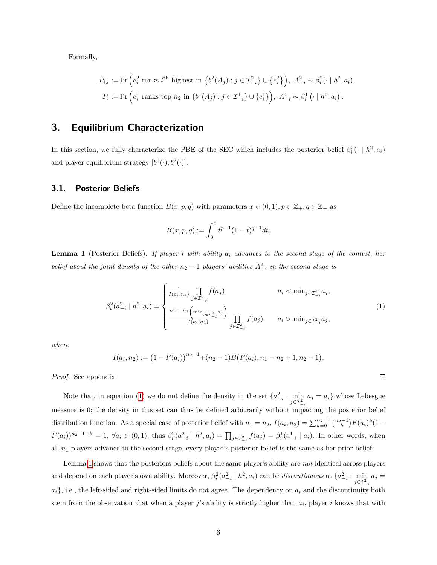Formally,

$$
P_{i,l} := \Pr\left(e_i^2 \text{ ranks } l^{\text{th}} \text{ highest in } \{b^2(A_j) : j \in \mathcal{I}_{-i}^2\} \cup \{e_i^2\}\right), \ A_{-i}^2 \sim \beta_i^2(\cdot \mid h^2, a_i),
$$
  

$$
P_i := \Pr\left(e_i^1 \text{ ranks top } n_2 \text{ in } \{b^1(A_j) : j \in \mathcal{I}_{-i}^1\} \cup \{e_i^1\}\right), \ A_{-i}^1 \sim \beta_i^1(\cdot \mid h^1, a_i).
$$

## **3. Equilibrium Characterization**

In this section, we fully characterize the PBE of the SEC which includes the posterior belief  $\beta_i^2(\cdot \mid h^2, a_i)$ and player equilibrium strategy  $[b^1(\cdot), b^2(\cdot)].$ 

#### **3.1. Posterior Beliefs**

Define the incomplete beta function  $B(x, p, q)$  with parameters  $x \in (0, 1), p \in \mathbb{Z}_+, q \in \mathbb{Z}_+$  as

$$
B(x, p, q) := \int_0^x t^{p-1} (1-t)^{q-1} dt.
$$

<span id="page-5-1"></span>**Lemma 1** (Posterior Beliefs)**.** *If player i with ability a<sup>i</sup> advances to the second stage of the contest, her belief about the joint density of the other*  $n_2 - 1$  *players' abilities*  $A_{-i}^2$  *in the second stage is* 

<span id="page-5-0"></span>
$$
\beta_i^2(a_{-i}^2 \mid h^2, a_i) = \begin{cases} \frac{1}{I(a_i, n_2)} \prod_{j \in \mathcal{I}_{-i}^2} f(a_j) & a_i < \min_{j \in \mathcal{I}_{-i}^2} a_j, \\ \frac{F^{n_1 - n_2} \left( \min_{j \in \mathcal{I}_{-i}^2} a_j \right)}{I(a_i, n_2)} \prod_{j \in \mathcal{I}_{-i}^2} f(a_j) & a_i > \min_{j \in \mathcal{I}_{-i}^2} a_j, \end{cases} \tag{1}
$$

 $\Box$ 

*where*

$$
I(a_i, n_2) := (1 - F(a_i))^{n_2 - 1} + (n_2 - 1)B(F(a_i), n_1 - n_2 + 1, n_2 - 1).
$$

*Proof.* See appendix.

Note that, in equation [\(1\)](#page-5-0) we do not define the density in the set  $\{a_{-i}^2 : \min_{j \in \mathcal{I}_{-i}^2} a_j = a_i\}$  whose Lebesgue measure is 0; the density in this set can thus be defined arbitrarily without impacting the posterior belief distribution function. As a special case of posterior belief with  $n_1 = n_2$ ,  $I(a_i, n_2) = \sum_{k=0}^{n_2-1} {n_2-1 \choose k} F(a_i)^k (1-p_2-1)$  $F(a_i))^{n_2-1-k} = 1, \ \forall a_i \in (0,1)$ , thus  $\beta_i^2(a_{-i}^2 \mid h^2, a_i) = \prod_{j \in \mathcal{I}_{-i}^2} f(a_j) = \beta_i^1(a_{-i}^1 \mid a_i)$ . In other words, when all  $n_1$  players advance to the second stage, every player's posterior belief is the same as her prior belief.

Lemma [1](#page-5-1) shows that the posteriors beliefs about the same player's ability are *not* identical across players and depend on each player's own ability. Moreover,  $\beta_i^2(a_{-i}^2 \mid h^2, a_i)$  can be *discontinuous* at  $\{a_{-i}^2 : \min_{j \in \mathcal{I}_{-i}^2} a_j = 1\}$ *ai*}, i.e., the left-sided and right-sided limits do not agree. The dependency on *a<sup>i</sup>* and the discontinuity both stem from the observation that when a player *j*'s ability is strictly higher than *a<sup>i</sup>* , player *i* knows that with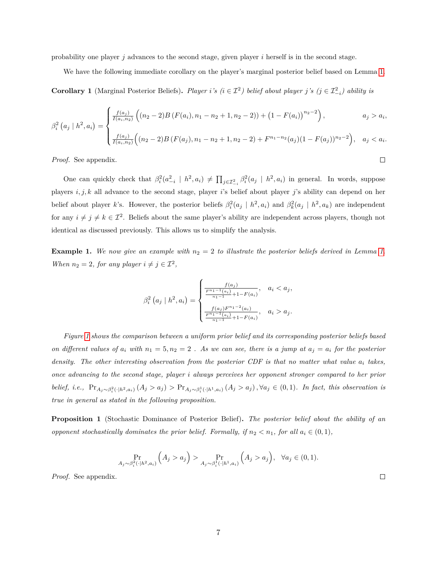probability one player *j* advances to the second stage, given player *i* herself is in the second stage.

<span id="page-6-0"></span>We have the following immediate corollary on the player's marginal posterior belief based on Lemma [1.](#page-5-1)

**Corollary 1** (Marginal Posterior Beliefs). *Player i*'s ( $i \in \mathcal{I}^2$ ) belief about player *j*'s ( $j \in \mathcal{I}^2_{-i}$ ) ability is

$$
\beta_i^2\left(a_j \mid h^2, a_i\right) = \begin{cases} \frac{f(a_j)}{I(a_i, n_2)} \left( (n_2 - 2)B\left(F(a_i), n_1 - n_2 + 1, n_2 - 2\right) \right) + \left(1 - F(a_i)\right)^{n_2 - 2} \right), & a_j > a_i, \\ \frac{f(a_j)}{I(a_i, n_2)} \left( (n_2 - 2)B\left(F(a_j), n_1 - n_2 + 1, n_2 - 2\right) + F^{n_1 - n_2}(a_j)(1 - F(a_j))^{n_2 - 2} \right), & a_j < a_i. \end{cases}
$$

*Proof.* See appendix.

One can quickly check that  $\beta_i^2(a_{-i}^2 \mid h^2, a_i) \neq \prod_{j \in \mathcal{I}_{-i}^2} \beta_i^2(a_j \mid h^2, a_i)$  in general. In words, suppose players *i, j, k* all advance to the second stage, player *i*'s belief about player *j*'s ability can depend on her belief about player *k*'s. However, the posterior beliefs  $\beta_i^2(a_j \mid h^2, a_i)$  and  $\beta_k^2(a_j \mid h^2, a_k)$  are independent for any  $i \neq j \neq k \in \mathcal{I}^2$ . Beliefs about the same player's ability are independent across players, though not identical as discussed previously. This allows us to simplify the analysis.

**Example [1.](#page-5-1)** We now give an example with  $n_2 = 2$  to illustrate the posterior beliefs derived in Lemma 1. *When*  $n_2 = 2$ , for any player  $i \neq j \in \mathcal{I}^2$ ,

$$
\beta_i^2\left(a_j \mid h^2, a_i\right) = \begin{cases} \frac{f(a_j)}{\frac{F^{n_1-1}(a_i)}{n_1-1} + 1 - F(a_i)}, & a_i < a_j, \\ \frac{f(a_j)F^{n_1-2}(a_i)}{\frac{F^{n_1-1}(a_i)}{n_1-1} + 1 - F(a_i)}, & a_i > a_j. \end{cases}
$$

*Figure [1](#page-7-0) shows the comparison between a uniform prior belief and its corresponding posterior beliefs based on different values of*  $a_i$  with  $n_1 = 5, n_2 = 2$ . As we can see, there is a jump at  $a_j = a_i$  for the posterior *density. The other interesting observation from the posterior CDF is that no matter what value a<sup>i</sup> takes, once advancing to the second stage, player i always perceives her opponent stronger compared to her prior* belief, i.e.,  $Pr_{A_j \sim \beta_i^2(\cdot | h^2, a_i)}(A_j > a_j) > Pr_{A_j \sim \beta_i^1(\cdot | h^1, a_i)}(A_j > a_j), \forall a_j \in (0, 1)$ . In fact, this observation is *true in general as stated in the following proposition.*

<span id="page-6-1"></span>**Proposition 1** (Stochastic Dominance of Posterior Belief)**.** *The posterior belief about the ability of an opponent stochastically dominates the prior belief. Formally, if*  $n_2 < n_1$ , for all  $a_i \in (0,1)$ ,

$$
\Pr_{A_j \sim \beta_i^2(\cdot | h^2, a_i)} \left( A_j > a_j \right) > \Pr_{A_j \sim \beta_i^1(\cdot | h^1, a_i)} \left( A_j > a_j \right), \quad \forall a_j \in (0, 1).
$$

*Proof.* See appendix.

 $\Box$ 

 $\Box$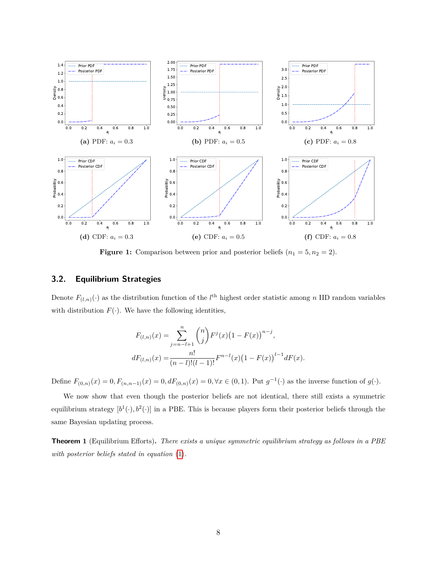<span id="page-7-0"></span>

**Figure 1:** Comparison between prior and posterior beliefs  $(n_1 = 5, n_2 = 2)$ .

#### **3.2. Equilibrium Strategies**

Denote  $F_{(l,n)}(\cdot)$  as the distribution function of the  $l^{\text{th}}$  highest order statistic among *n* IID random variables with distribution  $F(\cdot)$ . We have the following identities,

$$
F_{(l,n)}(x) = \sum_{j=n-l+1}^{n} {n \choose j} F^{j}(x) (1 - F(x))^{n-j},
$$
  

$$
dF_{(l,n)}(x) = \frac{n!}{(n-l)!(l-1)!} F^{n-l}(x) (1 - F(x))^{l-1} dF(x).
$$

Define  $F_{(0,n)}(x) = 0, F_{(n,n-1)}(x) = 0, dF_{(0,n)}(x) = 0, \forall x \in (0,1)$ . Put  $g^{-1}(\cdot)$  as the inverse function of  $g(\cdot)$ .

We now show that even though the posterior beliefs are not identical, there still exists a symmetric equilibrium strategy  $[b^1(\cdot), b^2(\cdot)]$  in a PBE. This is because players form their posterior beliefs through the same Bayesian updating process.

<span id="page-7-1"></span>**Theorem 1** (Equilibrium Efforts)**.** *There exists a unique symmetric equilibrium strategy as follows in a PBE with posterior beliefs stated in equation* [\(1\)](#page-5-0)*.*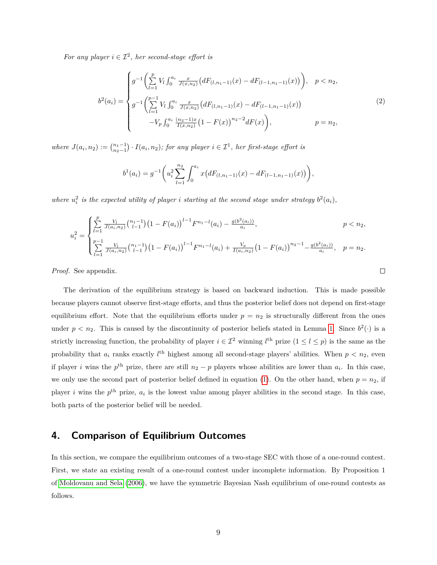*For any player*  $i \in \mathcal{I}^2$ , *her second-stage effort is* 

<span id="page-8-0"></span>
$$
b^{2}(a_{i}) = \begin{cases} g^{-1}\left(\sum_{l=1}^{p} V_{l} \int_{0}^{a_{i}} \frac{x}{J(x,n_{2})} \left(dF_{(l,n_{1}-1)}(x) - dF_{(l-1,n_{1}-1)}(x)\right)\right), & p < n_{2}, \\ g^{-1}\left(\sum_{l=1}^{p-1} V_{l} \int_{0}^{a_{i}} \frac{x}{J(x,n_{2})} \left(dF_{(l,n_{1}-1)}(x) - dF_{(l-1,n_{1}-1)}(x)\right)\right) & & (2) \\ -V_{p} \int_{0}^{a_{i}} \frac{(n_{2}-1)x}{I(x,n_{2})} \left(1 - F(x)\right)^{n_{2}-2} dF(x)\right), & p = n_{2}, \end{cases}
$$

 $where \ J(a_i, n_2) := {n_1 - 1 \choose n_2 - 1} \cdot I(a_i, n_2); for any player i \in \mathcal{I}^1, her first-stage effort is$ 

$$
b^{1}(a_{i}) = g^{-1}\left(u_{i}^{2}\sum_{l=1}^{n_{2}} \int_{0}^{a_{i}} x\big(dF_{(l,n_{1}-1)}(x) - dF_{(l-1,n_{1}-1)}(x)\big)\right),
$$

where  $u_i^2$  is the expected utility of player *i* starting at the second stage under strategy  $b^2(a_i)$ ,

$$
u_i^2 = \begin{cases} \sum_{l=1}^p \frac{V_l}{J(a_i, n_2)} {n_1-1 \choose l-1} (1 - F(a_i))^{l-1} F^{n_1-l}(a_i) - \frac{g(b^2(a_i))}{a_i}, & p < n_2, \\ \sum_{l=1}^{p-1} \frac{V_l}{J(a_i, n_2)} {n_1-1 \choose l-1} (1 - F(a_i))^{l-1} F^{n_1-l}(a_i) + \frac{V_p}{I(a_i, n_2)} (1 - F(a_i))^{n_2-1} - \frac{g(b^2(a_i))}{a_i}, & p = n_2. \end{cases}
$$

 $\Box$ 

*Proof.* See appendix.

The derivation of the equilibrium strategy is based on backward induction. This is made possible because players cannot observe first-stage efforts, and thus the posterior belief does not depend on first-stage equilibrium effort. Note that the equilibrium efforts under  $p = n_2$  is structurally different from the ones under  $p < n_2$ . This is caused by the discontinuity of posterior beliefs stated in Lemma [1.](#page-5-1) Since  $b^2(\cdot)$  is a strictly increasing function, the probability of player  $i \in \mathcal{I}^2$  winning  $l^{\text{th}}$  prize  $(1 \leq l \leq p)$  is the same as the probability that  $a_i$  ranks exactly  $l^{\text{th}}$  highest among all second-stage players' abilities. When  $p < n_2$ , even if player *i* wins the  $p^{\text{th}}$  prize, there are still  $n_2 - p$  players whose abilities are lower than  $a_i$ . In this case, we only use the second part of posterior belief defined in equation [\(1\)](#page-5-0). On the other hand, when  $p = n<sub>2</sub>$ , if player *i* wins the  $p^{\text{th}}$  prize,  $a_i$  is the lowest value among player abilities in the second stage. In this case, both parts of the posterior belief will be needed.

## **4. Comparison of Equilibrium Outcomes**

In this section, we compare the equilibrium outcomes of a two-stage SEC with those of a one-round contest. First, we state an existing result of a one-round contest under incomplete information. By Proposition 1 of [Moldovanu and Sela](#page-22-0) [\(2006\)](#page-22-0), we have the symmetric Bayesian Nash equilibrium of one-round contests as follows.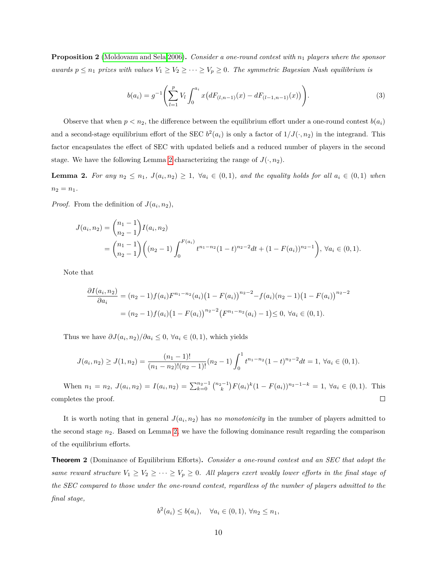**Proposition 2** [\(Moldovanu and Sela 2006\)](#page-22-0)**.** *Consider a one-round contest with n*<sup>1</sup> *players where the sponsor awards*  $p \leq n_1$  *prizes with values*  $V_1 \geq V_2 \geq \cdots \geq V_p \geq 0$ . The symmetric Bayesian Nash equilibrium is

<span id="page-9-1"></span>
$$
b(a_i) = g^{-1}\left(\sum_{l=1}^p V_l \int_0^{a_i} x\big(dF_{(l,n-1)}(x) - dF_{(l-1,n-1)}(x)\big)\right). \tag{3}
$$

Observe that when  $p < n_2$ , the difference between the equilibrium effort under a one-round contest  $b(a_i)$ and a second-stage equilibrium effort of the SEC  $b^2(a_i)$  is only a factor of  $1/J(\cdot, n_2)$  in the integrand. This factor encapsulates the effect of SEC with updated beliefs and a reduced number of players in the second stage. We have the following Lemma [2](#page-9-0) characterizing the range of  $J(\cdot, n_2)$ .

<span id="page-9-0"></span>**Lemma 2.** For any  $n_2 \leq n_1$ ,  $J(a_i, n_2) \geq 1$ ,  $\forall a_i \in (0,1)$ , and the equality holds for all  $a_i \in (0,1)$  when  $n_2 = n_1$ .

*Proof.* From the definition of  $J(a_i, n_2)$ ,

$$
J(a_i, n_2) = {n_1 - 1 \choose n_2 - 1} I(a_i, n_2)
$$
  
=  ${n_1 - 1 \choose n_2 - 1} (n_2 - 1) \int_0^{F(a_i)} t^{n_1 - n_2} (1 - t)^{n_2 - 2} dt + (1 - F(a_i))^{n_2 - 1}$ ,  $\forall a_i \in (0, 1)$ .

Note that

$$
\frac{\partial I(a_i, n_2)}{\partial a_i} = (n_2 - 1) f(a_i) F^{n_1 - n_2}(a_i) (1 - F(a_i))^{n_2 - 2} - f(a_i) (n_2 - 1) (1 - F(a_i))^{n_2 - 2}
$$
  
=  $(n_2 - 1) f(a_i) (1 - F(a_i))^{n_2 - 2} (F^{n_1 - n_2}(a_i) - 1) \le 0, \forall a_i \in (0, 1).$ 

Thus we have  $\partial J(a_i, n_2)/\partial a_i \leq 0$ ,  $\forall a_i \in (0, 1)$ , which yields

$$
J(a_i, n_2) \ge J(1, n_2) = \frac{(n_1 - 1)!}{(n_1 - n_2)!(n_2 - 1)!} (n_2 - 1) \int_0^1 t^{n_1 - n_2} (1 - t)^{n_2 - 2} dt = 1, \ \forall a_i \in (0, 1).
$$

When  $n_1 = n_2$ ,  $J(a_i, n_2) = I(a_i, n_2) = \sum_{k=0}^{n_2-1} {n_2-1 \choose k} F(a_i)^k (1 - F(a_i))^{n_2-1-k} = 1$ ,  $\forall a_i \in (0,1)$ . This completes the proof.  $\Box$ 

It is worth noting that in general  $J(a_i, n_2)$  has *no monotonicity* in the number of players admitted to the second stage *n*2. Based on Lemma [2,](#page-9-0) we have the following dominance result regarding the comparison of the equilibrium efforts.

<span id="page-9-2"></span>**Theorem 2** (Dominance of Equilibrium Efforts)**.** *Consider a one-round contest and an SEC that adopt the same reward structure*  $V_1 \ge V_2 \ge \cdots \ge V_p \ge 0$ *. All players exert weakly lower efforts in the final stage of the SEC compared to those under the one-round contest, regardless of the number of players admitted to the final stage,*

$$
b^{2}(a_{i}) \leq b(a_{i}), \quad \forall a_{i} \in (0,1), \forall n_{2} \leq n_{1},
$$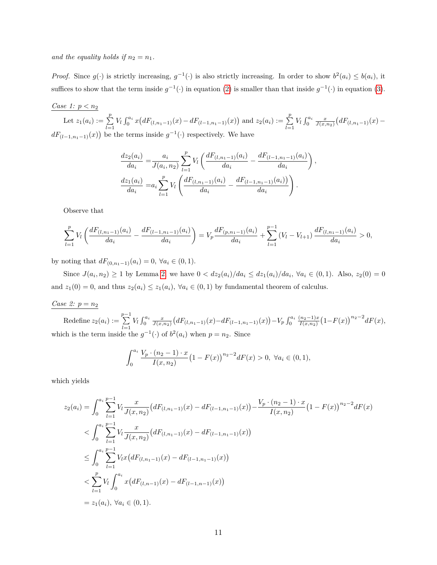and the equality holds if  $n_2 = n_1$ .

*Proof.* Since  $g(\cdot)$  is strictly increasing,  $g^{-1}(\cdot)$  is also strictly increasing. In order to show  $b^2(a_i) \leq b(a_i)$ , it suffices to show that the term inside  $g^{-1}(\cdot)$  in equation [\(2\)](#page-8-0) is smaller than that inside  $g^{-1}(\cdot)$  in equation [\(3\)](#page-9-1).

### *Case 1: p < n*<sup>2</sup>

Let  $z_1(a_i) := \sum_{l=1}^p V_l \int_0^{a_i} x\big(dF_{(l,n_1-1)}(x) - dF_{(l-1,n_1-1)}(x)\big)$  and  $z_2(a_i) := \sum_{l=1}^p V_l \int_0^{a_i} \frac{x}{J(x,n_2)} \big(dF_{(l,n_1-1)}(x) - dF_{(l,n_1-1)}(x)\big)$  $dF_{(l-1,n_1-1)}(x)$  be the terms inside  $g^{-1}(\cdot)$  respectively. We have

$$
\frac{dz_2(a_i)}{da_i} = \frac{a_i}{J(a_i, n_2)} \sum_{l=1}^p V_l \left( \frac{dF_{(l, n_1-1)}(a_i)}{da_i} - \frac{dF_{(l-1, n_1-1)}(a_i)}{da_i} \right),
$$

$$
\frac{dz_1(a_i)}{da_i} = a_i \sum_{l=1}^p V_l \left( \frac{dF_{(l, n_1-1)}(a_i)}{da_i} - \frac{dF_{(l-1, n_1-1)}(a_i)}{da_i} \right).
$$

Observe that

$$
\sum_{l=1}^p V_l \left( \frac{dF_{(l,n_1-1)}(a_i)}{da_i} - \frac{dF_{(l-1,n_1-1)}(a_i)}{da_i} \right) = V_p \frac{dF_{(p,n_1-1)}(a_i)}{da_i} + \sum_{l=1}^{p-1} (V_l - V_{l+1}) \frac{dF_{(l,n_1-1)}(a_i)}{da_i} > 0,
$$

by noting that  $dF_{(0,n_1-1)}(a_i) = 0, \forall a_i \in (0,1)$ .

Since  $J(a_i, n_2) \ge 1$  by Lemma [2,](#page-9-0) we have  $0 < dz_2(a_i)/da_i \le dz_1(a_i)/da_i$ ,  $\forall a_i \in (0,1)$ . Also,  $z_2(0) = 0$ and  $z_1(0) = 0$ , and thus  $z_2(a_i) \leq z_1(a_i)$ ,  $\forall a_i \in (0,1)$  by fundamental theorem of calculus.

#### *Case 2: p* = *n*<sup>2</sup>

Redefine  $z_2(a_i) := \sum_{i=1}^{p-1}$  $\sum_{l=1}^{p} V_l \int_0^{a_i} \frac{x}{J(x,n_2)} \big( dF_{(l,n_1-1)}(x) - dF_{(l-1,n_1-1)}(x) \big) - V_p \int_0^{a_i} \frac{(n_2-1)x}{I(x,n_2)}$  $\frac{(n_2-1)x}{I(x,n_2)}(1-F(x))^{n_2-2}dF(x),$ which is the term inside the  $g^{-1}(\cdot)$  of  $b^2(a_i)$  when  $p = n_2$ . Since

$$
\int_0^{a_i} \frac{V_p \cdot (n_2 - 1) \cdot x}{I(x, n_2)} (1 - F(x))^{n_2 - 2} dF(x) > 0, \ \forall a_i \in (0, 1),
$$

which yields

$$
z_2(a_i) = \int_0^{a_i} \sum_{l=1}^{p-1} V_l \frac{x}{J(x, n_2)} \left( dF_{(l, n_1-1)}(x) - dF_{(l-1, n_1-1)}(x) \right) - \frac{V_p \cdot (n_2-1) \cdot x}{I(x, n_2)} \left( 1 - F(x) \right)^{n_2-2} dF(x)
$$
  

$$
< \int_0^{a_i} \sum_{l=1}^{p-1} V_l \frac{x}{J(x, n_2)} \left( dF_{(l, n_1-1)}(x) - dF_{(l-1, n_1-1)}(x) \right)
$$
  

$$
\leq \int_0^{a_i} \sum_{l=1}^{p-1} V_l x \left( dF_{(l, n_1-1)}(x) - dF_{(l-1, n_1-1)}(x) \right)
$$
  

$$
< \sum_{l=1}^p V_l \int_0^{a_i} x \left( dF_{(l, n-1)}(x) - dF_{(l-1, n-1)}(x) \right)
$$
  

$$
= z_1(a_i), \forall a_i \in (0, 1).
$$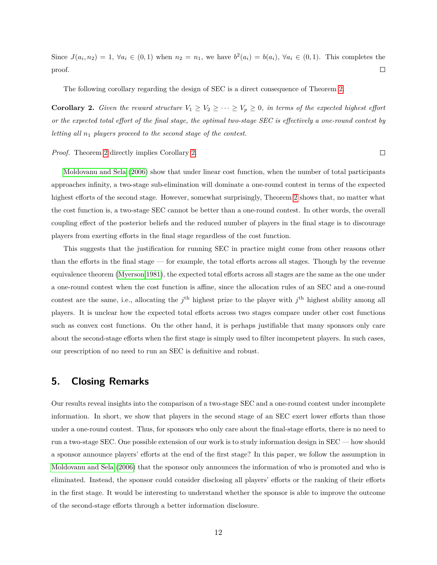Since  $J(a_i, n_2) = 1$ ,  $\forall a_i \in (0,1)$  when  $n_2 = n_1$ , we have  $b^2(a_i) = b(a_i)$ ,  $\forall a_i \in (0,1)$ . This completes the proof.  $\Box$ 

The following corollary regarding the design of SEC is a direct consequence of Theorem [2.](#page-9-2)

<span id="page-11-0"></span>**Corollary 2.** *Given the reward structure*  $V_1 \ge V_2 \ge \cdots \ge V_p \ge 0$ *, in terms of the expected highest effort or the expected total effort of the final stage, the optimal two-stage SEC is effectively a one-round contest by letting all n*<sup>1</sup> *players proceed to the second stage of the contest.*

 $\Box$ 

*Proof.* Theorem [2](#page-9-2) directly implies Corollary [2.](#page-11-0)

[Moldovanu and Sela](#page-22-0) [\(2006\)](#page-22-0) show that under linear cost function, when the number of total participants approaches infinity, a two-stage sub-elimination will dominate a one-round contest in terms of the expected highest efforts of the second stage. However, somewhat surprisingly, Theorem [2](#page-9-2) shows that, no matter what the cost function is, a two-stage SEC cannot be better than a one-round contest. In other words, the overall coupling effect of the posterior beliefs and the reduced number of players in the final stage is to discourage players from exerting efforts in the final stage regardless of the cost function.

This suggests that the justification for running SEC in practice might come from other reasons other than the efforts in the final stage — for example, the total efforts across all stages. Though by the revenue equivalence theorem [\(Myerson 1981\)](#page-22-3), the expected total efforts across all stages are the same as the one under a one-round contest when the cost function is affine, since the allocation rules of an SEC and a one-round contest are the same, i.e., allocating the  $j^{\text{th}}$  highest prize to the player with  $j^{\text{th}}$  highest ability among all players. It is unclear how the expected total efforts across two stages compare under other cost functions such as convex cost functions. On the other hand, it is perhaps justifiable that many sponsors only care about the second-stage efforts when the first stage is simply used to filter incompetent players. In such cases, our prescription of no need to run an SEC is definitive and robust.

## **5. Closing Remarks**

Our results reveal insights into the comparison of a two-stage SEC and a one-round contest under incomplete information. In short, we show that players in the second stage of an SEC exert lower efforts than those under a one-round contest. Thus, for sponsors who only care about the final-stage efforts, there is no need to run a two-stage SEC. One possible extension of our work is to study information design in SEC — how should a sponsor announce players' efforts at the end of the first stage? In this paper, we follow the assumption in [Moldovanu and Sela](#page-22-0) [\(2006\)](#page-22-0) that the sponsor only announces the information of who is promoted and who is eliminated. Instead, the sponsor could consider disclosing all players' efforts or the ranking of their efforts in the first stage. It would be interesting to understand whether the sponsor is able to improve the outcome of the second-stage efforts through a better information disclosure.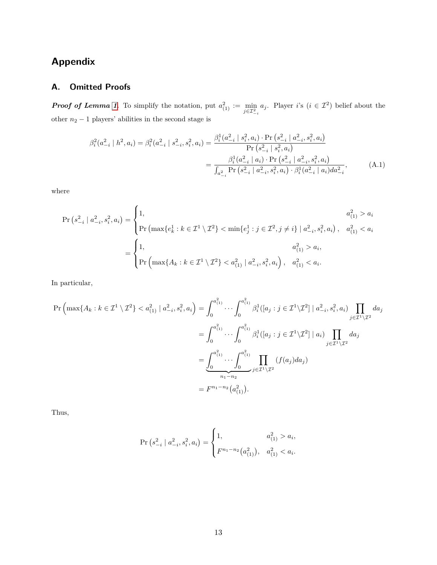# **Appendix**

## **A. Omitted Proofs**

*Proof of Lemma [1](#page-5-1)*. To simplify the notation, put  $a_{(1)}^2 := \min_{j \in \mathcal{I}_{-i}^2} a_j$ . Player *i*'s  $(i \in \mathcal{I}^2)$  belief about the other  $n_2 - 1$  players' abilities in the second stage is

<span id="page-12-0"></span>
$$
\beta_i^2(a_{-i}^2 \mid h^2, a_i) = \beta_i^2(a_{-i}^2 \mid s_{-i}^2, s_i^2, a_i) = \frac{\beta_i^1(a_{-i}^2 \mid s_i^2, a_i) \cdot \Pr\left(s_{-i}^2 \mid a_{-i}^2, s_i^2, a_i\right)}{\Pr\left(s_{-i}^2 \mid s_i^2, a_i\right)} = \frac{\beta_i^1(a_{-i}^2 \mid a_i) \cdot \Pr\left(s_{-i}^2 \mid a_{-i}^2, s_i^2, a_i\right)}{\int_{a_{-i}^2} \Pr\left(s_{-i}^2 \mid a_{-i}^2, s_i^2, a_i\right) \cdot \beta_i^1(a_{-i}^2 \mid a_i) da_{-i}^2},\tag{A.1}
$$

where

$$
\Pr\left(s_{-i}^{2} \mid a_{-i}^{2}, s_{i}^{2}, a_{i}\right) = \begin{cases} 1, & a_{(1)}^{2} > a_{i} \\ \Pr\left(\max\{e_{k}^{1} : k \in \mathcal{I}^{1} \setminus \mathcal{I}^{2}\} < \min\{e_{j}^{1} : j \in \mathcal{I}^{2}, j \neq i\} \mid a_{-i}^{2}, s_{i}^{2}, a_{i}\right), & a_{(1)}^{2} < a_{i} \\ 1, & a_{(1)}^{2} > a_{i}, \\ \Pr\left(\max\{A_{k} : k \in \mathcal{I}^{1} \setminus \mathcal{I}^{2}\} < a_{(1)}^{2} \mid a_{-i}^{2}, s_{i}^{2}, a_{i}\right), & a_{(1)}^{2} < a_{i}. \end{cases}
$$

In particular,

$$
\Pr\left(\max\{A_k : k \in \mathcal{I}^1 \setminus \mathcal{I}^2\} < a_{(1)}^2 \mid a_{-i}^2, s_i^2, a_i\right) = \int_0^{a_{(1)}^2} \cdots \int_0^{a_{(1)}^2} \beta_i^1([a_j : j \in \mathcal{I}^1 \setminus \mathcal{I}^2] \mid a_{-i}^2, s_i^2, a_i) \prod_{j \in \mathcal{I}^1 \setminus \mathcal{I}^2} da_j
$$
\n
$$
= \int_0^{a_{(1)}^2} \cdots \int_0^{a_{(1)}^2} \beta_i^1([a_j : j \in \mathcal{I}^1 \setminus \mathcal{I}^2] \mid a_i) \prod_{j \in \mathcal{I}^1 \setminus \mathcal{I}^2} da_j
$$
\n
$$
= \underbrace{\int_0^{a_{(1)}^2} \cdots \int_0^{a_{(1)}^2} \prod_{j \in \mathcal{I}^1 \setminus \mathcal{I}^2} (f(a_j) da_j)}_{n_1 - n_2} (f(a_j) a_j)
$$
\n
$$
= F^{n_1 - n_2}(a_{(1)}^2).
$$

Thus,

$$
\Pr\left(s_{-i}^2 \mid a_{-i}^2, s_i^2, a_i\right) = \begin{cases} 1, & a_{(1)}^2 > a_i, \\ F^{n_1 - n_2}(a_{(1)}^2), & a_{(1)}^2 < a_i. \end{cases}
$$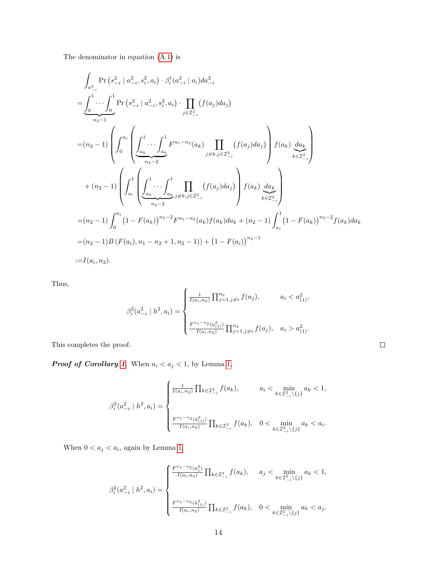The denominator in equation [\(A.1\)](#page-12-0) is

$$
\int_{a_{-i}^{2}} \Pr (s_{-i}^{2} | a_{-i}^{2}, s_{i}^{2}, a_{i}) \cdot \beta_{i}^{1}(a_{-i}^{2} | a_{i}) da_{-i}^{2}
$$
\n
$$
= \underbrace{\int_{0}^{1} \cdots \int_{0}^{1} \Pr (s_{-i}^{2} | a_{-i}^{2}, s_{i}^{2}, a_{i}) \cdot \prod_{j \in \mathcal{I}_{-i}^{2}} (f(a_{j}) da_{j})}_{n_{2}-1}
$$
\n
$$
= (n_{2} - 1) \left( \int_{0}^{a_{i}} \left( \underbrace{\int_{a_{k}}^{1} \cdots \int_{a_{k}}^{1} F^{n_{1}-n_{2}}(a_{k})}_{n_{2}-2} \prod_{j \neq k, j \in \mathcal{I}_{-i}^{2}} (f(a_{j}) da_{j}) \right) f(a_{k}) \underbrace{da_{k}}_{k \in \mathcal{I}_{-i}^{2}} \right)
$$
\n
$$
+ (n_{2} - 1) \left( \int_{a_{i}}^{1} \left( \underbrace{\int_{a_{k}}^{1} \cdots \int_{a_{k}}^{1} \prod_{j \neq k, j \in \mathcal{I}_{-i}^{2}} (f(a_{j}) da_{j}) \right) f(a_{k}) \underbrace{da_{k}}_{k \in \mathcal{I}_{-i}^{2}} \right)
$$
\n
$$
= (n_{2} - 1) \int_{0}^{a_{i}} (1 - F(a_{k}))^{n_{2}-2} F^{n_{1}-n_{2}}(a_{k}) f(a_{k}) da_{k} + (n_{2} - 1) \int_{a_{i}}^{1} (1 - F(a_{k}))^{n_{2}-2} f(a_{k}) da_{k}
$$
\n
$$
= (n_{2} - 1) B (F(a_{i}), n_{1} - n_{2} + 1, n_{2} - 1)) + (1 - F(a_{i}))^{n_{2}-1}
$$
\n
$$
:= I(a_{i}, n_{2}).
$$

Thus,

$$
\beta_i^2(a_{-i}^2 \mid h^2, a_i) = \begin{cases} \frac{1}{I(a_i, n_2)} \prod_{j=1, j \neq i}^{n_2} f(a_j), & a_i < a_{(1)}^2, \\ \frac{F^{n_1 - n_2}(a_{(1)}^2)}{I(a_i, n_2)} \prod_{j=1, j \neq i}^{n_2} f(a_j), & a_i > a_{(1)}^2. \end{cases}
$$

This completes the proof.

*Proof of Corollary [1](#page-6-0).* When  $a_i < a_j < 1$ , by Lemma [1,](#page-5-1)

$$
\beta_i^2(a_{-i}^2 \mid h^2, a_i) = \begin{cases} \frac{1}{I(a_i, n_2)} \prod_{k \in \mathcal{I}_{-i}^2} f(a_k), & a_i < \min_{k \in \mathcal{I}_{-i}^2 \backslash \{j\}} a_k < 1, \\ & \\ \frac{F^{n_1 - n_2}(\tilde{a}_{(1)}^2)}{I(a_i, n_2)} \prod_{k \in \mathcal{I}_{-i}^2} f(a_k), & 0 < \min_{k \in \mathcal{I}_{-i}^2 \backslash \{j\}} a_k < a_i. \end{cases}
$$

When  $0 < a_j < a_i$ , again by Lemma [1,](#page-5-1)

$$
\beta_i^2(a_{-i}^2 \mid h^2, a_i) = \begin{cases} \frac{F^{n_1 - n_2}(a_j^2)}{I(a_i, n_2)} \prod_{k \in \mathcal{I}_{-i}^2} f(a_k), & a_j < \min_{k \in \mathcal{I}_{-i}^2 \backslash \{j\}} a_k < 1, \\ & \frac{F^{n_1 - n_2}(\tilde{a}_{(1)}^2)}{I(a_i, n_2)} \prod_{k \in \mathcal{I}_{-i}^2} f(a_k), & 0 < \min_{k \in \mathcal{I}_{-i}^2 \backslash \{j\}} a_k < a_j. \end{cases}
$$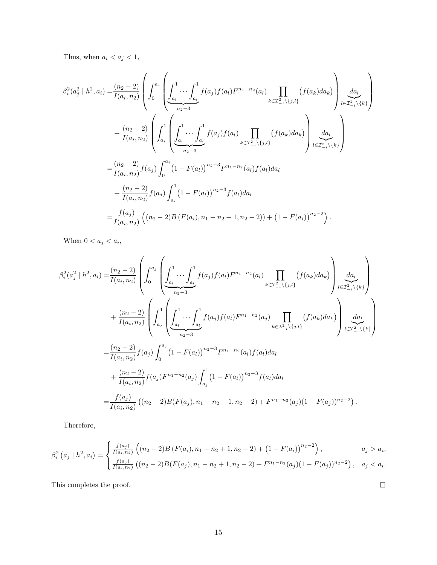Thus, when  $a_i < a_j < 1$ ,

$$
\beta_i^2(a_j^2 \mid h^2, a_i) = \frac{(n_2 - 2)}{I(a_i, n_2)} \left( \int_0^{a_i} \left( \underbrace{\int_{a_l}^1 \cdots \int_{a_l}^1 f(a_j) f(a_l) F^{n_1 - n_2}(a_l)}_{n_2 - 3} \prod_{k \in \mathcal{I}^2_{-i} \setminus \{j,l\}} (f(a_k) da_k) \right) \underset{l \in \mathcal{I}^2_{-i} \setminus \{k\}}{\underbrace{da_l}} \right) + \frac{(n_2 - 2)}{I(a_i, n_2)} \left( \int_{a_i}^1 \left( \underbrace{\int_{a_i}^1 \cdots \int_{a_l}^1 f(a_j) f(a_l)}_{n_2 - 3} \prod_{k \in \mathcal{I}^2_{-i} \setminus \{j,l\}} (f(a_k) da_k) \right) \underset{l \in \mathcal{I}^2_{-i} \setminus \{k\}}{\underbrace{da_l}} \right) \right) = \frac{(n_2 - 2)}{I(a_i, n_2)} f(a_j) \int_0^{a_i} (1 - F(a_l))^{n_2 - 3} F^{n_1 - n_2}(a_l) f(a_l) da_l
$$
  
+ 
$$
\frac{(n_2 - 2)}{I(a_i, n_2)} f(a_j) \int_{a_i}^1 (1 - F(a_l))^{n_2 - 3} f(a_l) da_l
$$
  
= 
$$
\frac{f(a_j)}{I(a_i, n_2)} \left( (n_2 - 2) B (F(a_i), n_1 - n_2 + 1, n_2 - 2)) + (1 - F(a_i))^{n_2 - 2} \right).
$$

When  $0 < a_j < a_i$ ,

$$
\beta_i^2(a_j^2 \mid h^2, a_i) = \frac{(n_2 - 2)}{I(a_i, n_2)} \left( \int_0^{a_j} \left( \underbrace{\int_{a_l}^1 \cdots \int_{a_l}^1 f(a_j) f(a_l) F^{n_1 - n_2}(a_l)}_{n_2 - 3} \underbrace{\prod_{k \in \mathcal{I}_{-i}^2 \backslash \{j,l\}} (f(a_k) da_k)}_{k \in \mathcal{I}_{-i}^2 \backslash \{k\}} \right) \underbrace{\frac{da_l}{\left( \mathcal{I}_{-i}^1 \right)} \left( \underbrace{\int_{a_l}^1 \left( \underbrace{\int_{a_l}^1 \cdots \int_{a_l}^1 f(a_j) f(a_l) F^{n_1 - n_2}(a_j)}_{n_2 - 3} \right) \prod_{k \in \mathcal{I}_{-i}^2 \backslash \{j,l\}} (f(a_k) da_k)}_{k \in \mathcal{I}_{-i}^2 \backslash \{j,l\}} \right) \underbrace{\frac{da_l}{\left( \mathcal{I}_{-i}^2 \right)} \left( \underbrace{\int_{a_l}^1 \left( \underbrace{\int_{a_l}^1 \cdots \int_{a_l}^1 f(a_j) f(a_l) F^{n_1 - n_2}(a_j)}_{n_2 - 3} \right) \prod_{k \in \mathcal{I}_{-i}^2 \backslash \{j,l\}} (f(a_k) da_k)}_{I(a_i, n_2)} \right) \underbrace{\frac{da_l}{\left( \mathcal{I}_{-i}^2 \right)} \left( \frac{da_l}{\left( \mathcal{I}_{-i}^2 \right)} \right)}_{+ \frac{(n_2 - 2)}{I(a_i, n_2)} f(a_j) \int_0^{a_j} (1 - F(a_l))^{n_2 - 3} f(a_l) da_l}
$$
\n
$$
= \frac{f(a_j)}{I(a_i, n_2)} \left( (n_2 - 2) B(F(a_j), n_1 - n_2 + 1, n_2 - 2) + F^{n_1 - n_2}(a_j) (1 - F(a_j))^{n_2 - 2} \right).
$$

Therefore,

$$
\beta_i^2\left(a_j \mid h^2, a_i\right) = \begin{cases} \frac{f(a_j)}{I(a_i, n_2)} \left( (n_2 - 2)B\left(F(a_i), n_1 - n_2 + 1, n_2 - 2\right) + \left(1 - F(a_i)\right)^{n_2 - 2} \right), & a_j > a_i, \\ \frac{f(a_j)}{I(a_i, n_2)} \left( (n_2 - 2)B\left(F(a_j), n_1 - n_2 + 1, n_2 - 2\right) + F^{n_1 - n_2}(a_j)(1 - F(a_j))^{n_2 - 2} \right), & a_j < a_i. \end{cases}
$$

This completes the proof.

 $\Box$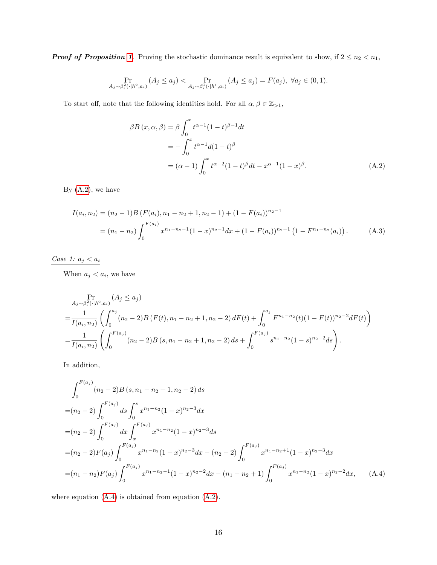*Proof of Proposition [1](#page-6-1).* Proving the stochastic dominance result is equivalent to show, if  $2 \leq n_2 < n_1$ ,

$$
\Pr_{A_j \sim \beta_i^2(\cdot | h^2, a_i)} (A_j \le a_j) < \Pr_{A_j \sim \beta_i^1(\cdot | h^1, a_i)} (A_j \le a_j) = F(a_j), \ \forall a_j \in (0, 1).
$$

To start off, note that the following identities hold. For all  $\alpha, \beta \in \mathbb{Z}_{>1}$ ,

<span id="page-15-0"></span>
$$
\beta B(x, \alpha, \beta) = \beta \int_0^x t^{\alpha - 1} (1 - t)^{\beta - 1} dt
$$
  
=  $-\int_0^x t^{\alpha - 1} d(1 - t)^{\beta}$   
=  $(\alpha - 1) \int_0^x t^{\alpha - 2} (1 - t)^{\beta} dt - x^{\alpha - 1} (1 - x)^{\beta}.$  (A.2)

By  $(A.2)$ , we have

$$
I(a_i, n_2) = (n_2 - 1)B (F(a_i), n_1 - n_2 + 1, n_2 - 1) + (1 - F(a_i))^{n_2 - 1}
$$
  
=  $(n_1 - n_2) \int_0^{F(a_i)} x^{n_1 - n_2 - 1} (1 - x)^{n_2 - 1} dx + (1 - F(a_i))^{n_2 - 1} (1 - F^{n_1 - n_2}(a_i))$ . (A.3)

*Case 1:*  $a_j < a_i$ 

When  $a_j < a_i$ , we have

$$
\Pr_{A_j \sim \beta_i^2(\cdot | h^2, a_i)} \left( A_j \le a_j \right)
$$
\n
$$
= \frac{1}{I(a_i, n_2)} \left( \int_0^{a_j} (n_2 - 2) B(F(t), n_1 - n_2 + 1, n_2 - 2) dF(t) + \int_0^{a_j} F^{n_1 - n_2}(t) (1 - F(t))^{n_2 - 2} dF(t) \right)
$$
\n
$$
= \frac{1}{I(a_i, n_2)} \left( \int_0^{F(a_j)} (n_2 - 2) B(s, n_1 - n_2 + 1, n_2 - 2) ds + \int_0^{F(a_j)} s^{n_1 - n_2} (1 - s)^{n_2 - 2} ds \right).
$$

In addition,

<span id="page-15-1"></span>
$$
\int_{0}^{F(a_{j})} (n_{2} - 2)B(s, n_{1} - n_{2} + 1, n_{2} - 2) ds
$$
\n
$$
= (n_{2} - 2) \int_{0}^{F(a_{j})} ds \int_{0}^{s} x^{n_{1} - n_{2}} (1 - x)^{n_{2} - 3} dx
$$
\n
$$
= (n_{2} - 2) \int_{0}^{F(a_{j})} dx \int_{x}^{F(a_{j})} x^{n_{1} - n_{2}} (1 - x)^{n_{2} - 3} ds
$$
\n
$$
= (n_{2} - 2)F(a_{j}) \int_{0}^{F(a_{j})} x^{n_{1} - n_{2}} (1 - x)^{n_{2} - 3} dx - (n_{2} - 2) \int_{0}^{F(a_{j})} x^{n_{1} - n_{2} + 1} (1 - x)^{n_{2} - 3} dx
$$
\n
$$
= (n_{1} - n_{2})F(a_{j}) \int_{0}^{F(a_{j})} x^{n_{1} - n_{2} - 1} (1 - x)^{n_{2} - 2} dx - (n_{1} - n_{2} + 1) \int_{0}^{F(a_{j})} x^{n_{1} - n_{2}} (1 - x)^{n_{2} - 2} dx, \qquad (A.4)
$$

where equation [\(A.4\)](#page-15-1) is obtained from equation [\(A.2\)](#page-15-0).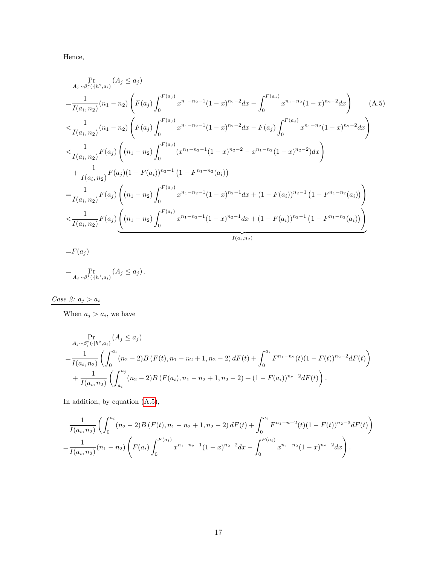Hence,

<span id="page-16-0"></span>
$$
A_{j} \sim \beta_{i}^{2}(\cdot|h^{2}, a_{i}) \left( A_{j} \leq a_{j} \right)
$$
\n
$$
= \frac{1}{I(a_{i}, n_{2})} (n_{1} - n_{2}) \left( F(a_{j}) \int_{0}^{F(a_{j})} x^{n_{1} - n_{2} - 1} (1 - x)^{n_{2} - 2} dx - \int_{0}^{F(a_{j})} x^{n_{1} - n_{2}} (1 - x)^{n_{2} - 2} dx \right) \tag{A.5}
$$
\n
$$
< \frac{1}{I(a_{i}, n_{2})} (n_{1} - n_{2}) \left( F(a_{j}) \int_{0}^{F(a_{j})} x^{n_{1} - n_{2} - 1} (1 - x)^{n_{2} - 2} dx - F(a_{j}) \int_{0}^{F(a_{j})} x^{n_{1} - n_{2}} (1 - x)^{n_{2} - 2} dx \right)
$$
\n
$$
< \frac{1}{I(a_{i}, n_{2})} F(a_{j}) \left( (n_{1} - n_{2}) \int_{0}^{F(a_{j})} (x^{n_{1} - n_{2} - 1} (1 - x)^{n_{2} - 2} - x^{n_{1} - n_{2}} (1 - x)^{n_{2} - 2}) dx \right)
$$
\n
$$
+ \frac{1}{I(a_{i}, n_{2})} F(a_{j}) (1 - F(a_{i}))^{n_{2} - 1} (1 - F^{n_{1} - n_{2}}(a_{i}))
$$
\n
$$
= \frac{1}{I(a_{i}, n_{2})} F(a_{j}) \left( (n_{1} - n_{2}) \int_{0}^{F(a_{j})} x^{n_{1} - n_{2} - 1} (1 - x)^{n_{2} - 1} dx + (1 - F(a_{i}))^{n_{2} - 1} (1 - F^{n_{1} - n_{2}}(a_{i})) \right)
$$
\n
$$
< \frac{1}{I(a_{i}, n_{2})} F(a_{j}) \underbrace{\left( (n_{1} - n_{2}) \int_{0}^{F(a_{i})} x^{n_{1} - n_{2} - 1} (1 - x)^{n_{2} - 1} dx + (1 - F(a_{i}))^{n_{2} - 1} (1 - F^{n_{1} - n_{2}}(a_{i})) \right)}
$$
\n
$$
= F(a_{j})
$$

$$
= \Pr_{A_j \sim \beta_i^1(\cdot | h^1, a_i)} (A_j \le a_j).
$$

 $\frac{Case \ 2: \ a_j > a_i}{\cdots}$ 

When  $a_j > a_i$ , we have

$$
\Pr_{A_j \sim \beta_i^2(\cdot | h^2, a_i)} \left( A_j \le a_j \right)
$$
\n
$$
= \frac{1}{I(a_i, n_2)} \left( \int_0^{a_i} (n_2 - 2) B(F(t), n_1 - n_2 + 1, n_2 - 2) dF(t) + \int_0^{a_i} F^{n_1 - n_2}(t) (1 - F(t))^{n_2 - 2} dF(t) \right)
$$
\n
$$
+ \frac{1}{I(a_i, n_2)} \left( \int_{a_i}^{a_j} (n_2 - 2) B(F(a_i), n_1 - n_2 + 1, n_2 - 2) + (1 - F(a_i))^{n_2 - 2} dF(t) \right).
$$

In addition, by equation [\(A.5\)](#page-16-0),

$$
\frac{1}{I(a_i, n_2)} \left( \int_0^{a_i} (n_2 - 2) B(F(t), n_1 - n_2 + 1, n_2 - 2) dF(t) + \int_0^{a_i} F^{n_1 - n - 2}(t) (1 - F(t))^{n_2 - 3} dF(t) \right)
$$
  
= 
$$
\frac{1}{I(a_i, n_2)} (n_1 - n_2) \left( F(a_i) \int_0^{F(a_i)} x^{n_1 - n_2 - 1} (1 - x)^{n_2 - 2} dx - \int_0^{F(a_i)} x^{n_1 - n_2} (1 - x)^{n_2 - 2} dx \right).
$$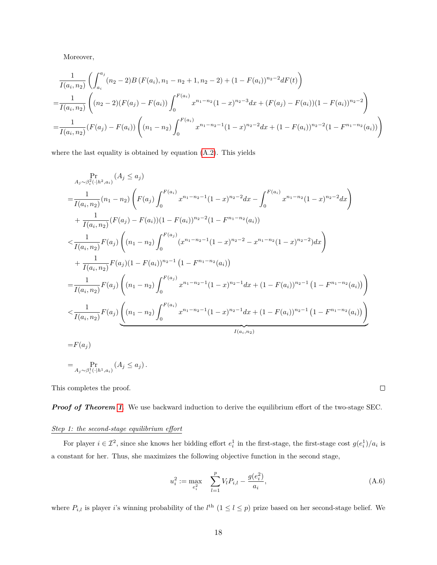Moreover,

$$
\frac{1}{I(a_i, n_2)} \left( \int_{a_i}^{a_j} (n_2 - 2) B(F(a_i), n_1 - n_2 + 1, n_2 - 2) + (1 - F(a_i))^{n_2 - 2} dF(t) \right)
$$
\n
$$
= \frac{1}{I(a_i, n_2)} \left( (n_2 - 2)(F(a_j) - F(a_i)) \int_0^{F(a_i)} x^{n_1 - n_2} (1 - x)^{n_2 - 3} dx + (F(a_j) - F(a_i))(1 - F(a_i))^{n_2 - 2} \right)
$$
\n
$$
= \frac{1}{I(a_i, n_2)} (F(a_j) - F(a_i)) \left( (n_1 - n_2) \int_0^{F(a_i)} x^{n_1 - n_2 - 1} (1 - x)^{n_2 - 2} dx + (1 - F(a_i))^{n_2 - 2} (1 - F^{n_1 - n_2}(a_i)) \right)
$$

where the last equality is obtained by equation [\(A.2\)](#page-15-0). This yields

$$
P_{A_j \sim \beta_i^2(\cdot | h^2, a_i)}^{P_{\mathcal{I}}^{\mathcal{I}}(h^2, a_i)}(A_j \le a_j)
$$
\n
$$
= \frac{1}{I(a_i, n_2)} (n_1 - n_2) \left( F(a_j) \int_0^{F(a_i)} x^{n_1 - n_2 - 1} (1 - x)^{n_2 - 2} dx - \int_0^{F(a_i)} x^{n_1 - n_2} (1 - x)^{n_2 - 2} dx \right)
$$
\n
$$
+ \frac{1}{I(a_i, n_2)} (F(a_j) - F(a_i)) (1 - F(a_i))^{n_2 - 2} (1 - F^{n_1 - n_2}(a_i))
$$
\n
$$
$$
\frac{1}{I(a_i, n_2)} F(a_j) \left( (n_1 - n_2) \int_0^{F(a_j)} (x^{n_1 - n_2 - 1} (1 - x)^{n_2 - 2} - x^{n_1 - n_2} (1 - x)^{n_2 - 2}) dx \right)
$$
\n
$$
+ \frac{1}{I(a_i, n_2)} F(a_j) (1 - F(a_i))^{n_2 - 1} (1 - F^{n_1 - n_2}(a_i))
$$
\n
$$
= \frac{1}{I(a_i, n_2)} F(a_j) \left( (n_1 - n_2) \int_0^{F(a_j)} x^{n_1 - n_2 - 1} (1 - x)^{n_2 - 1} dx + (1 - F(a_i))^{n_2 - 1} (1 - F^{n_1 - n_2}(a_i)) \right)
$$
\n
$$
$$
\frac{1}{I(a_i, n_2)} F(a_j) \underbrace{\left( (n_1 - n_2) \int_0^{F(a_i)} x^{n_1 - n_2 - 1} (1 - x)^{n_2 - 1} dx + (1 - F(a_i))^{n_2 - 1} (1 - F^{n_1 - n_2}(a_i)) \right)}_{I(a_i, n_2)}
$$
\n
$$
= F(a_j)
$$
\n
$$
= A_j \sim \beta_i^1(\cdot | h^1, a_i) (A_j \le a_j).
$$
$$
$$

This completes the proof.

*Proof of Theorem [1](#page-7-1).* We use backward induction to derive the equilibrium effort of the two-stage SEC.

## *Step 1: the second-stage equilibrium effort*

For player  $i \in \mathcal{I}^2$ , since she knows her bidding effort  $e_i^1$  in the first-stage, the first-stage cost  $g(e_i^1)/a_i$  is a constant for her. Thus, she maximizes the following objective function in the second stage,

<span id="page-17-0"></span>
$$
u_i^2 := \max_{e_i^2} \quad \sum_{l=1}^p V_l P_{i,l} - \frac{g(e_i^2)}{a_i},\tag{A.6}
$$

where  $P_{i,l}$  is player *i*'s winning probability of the  $l^{\text{th}}$   $(1 \leq l \leq p)$  prize based on her second-stage belief. We

 $\Box$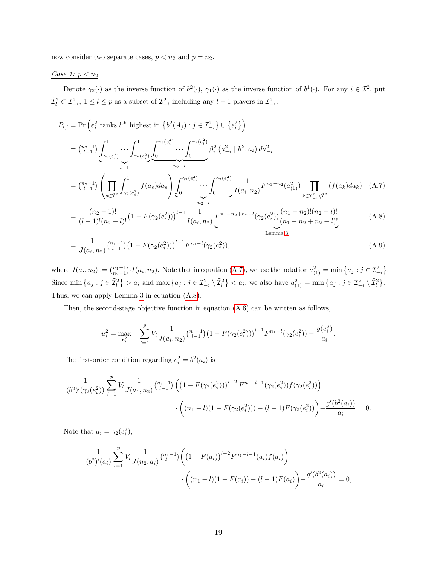now consider two separate cases,  $p < n_2$  and  $p = n_2$ .

*Case 1: p < n*<sup>2</sup>

Denote  $\gamma_2(\cdot)$  as the inverse function of  $b^2(\cdot)$ ,  $\gamma_1(\cdot)$  as the inverse function of  $b^1(\cdot)$ . For any  $i \in \mathcal{I}^2$ , put  $\tilde{\mathcal{I}}_l^2 \subset \mathcal{I}_{-i}^2$ ,  $1 \leq l \leq p$  as a subset of  $\mathcal{I}_{-i}^2$  including any  $l-1$  players in  $\mathcal{I}_{-i}^2$ .

$$
P_{i,l} = \Pr\left(e_i^2 \text{ ranks } l^{\text{th}} \text{ highest in } \{b^2(A_j) : j \in \mathcal{I}_{-i}^2\} \cup \{e_i^2\}\right)
$$
  
\n
$$
= \binom{n_2-1}{l-1} \underbrace{\int_{\gamma_2(e_i^2)}^1 \cdots \int_{\gamma_2(e_i^2)}^1 \int_0^{\gamma_2(e_i^2)} \cdots \int_0^{\gamma_2(e_i^2)} \beta_i^2(a_{-i}^2 \mid h^2, a_i) da_{-i}^2}_{n_2-l}
$$
  
\n
$$
= \binom{n_2-1}{l-1} \left(\prod_{s \in \mathcal{I}_l^2} \int_{\gamma_2(e_i^2)}^1 f(a_s) da_s\right) \underbrace{\int_0^{\gamma_2(e_i^2)} \cdots \int_0^{\gamma_2(e_i^2)} \frac{1}{I(a_i, n_2)} F^{n_1-n_2}(a_{(1)}^2)}_{n_2-l} \prod_{k \in \mathcal{I}_{-i}^2 \setminus \mathcal{I}_l^2} (f(a_k) da_k) \quad (A.7)
$$
  
\n
$$
= \frac{(n_2-1)!}{(l-1)!(n_2-l)!} \left(1 - F(\gamma_2(e_i^2))\right)^{l-1} \frac{1}{I(a_i, n_2)} F^{n_1-n_2+n_2-l}(\gamma_2(e_i^2)) \frac{(n_1-n_2)!(n_2-l)!}{(n_1-n_2+n_2-l)!} \quad (A.8)
$$
Lemma 3

<span id="page-18-0"></span>
$$
= \frac{1}{J(a_i, n_2)} {n_1 - 1 \choose l-1} \left(1 - F(\gamma_2(e_i^2))\right)^{l-1} F^{n_1-l}(\gamma_2(e_i^2)), \tag{A.9}
$$

where  $J(a_i, n_2) := {n_1-1 \choose n_2-1} \cdot I(a_i, n_2)$ . Note that in equation  $(A.7)$ , we use the notation  $a_{(1)}^2 = \min\{a_j : j \in \mathcal{I}_{-i}^2\}$ . Since  $\min\left\{a_j : j \in \tilde{\mathcal{I}}_l^2\right\} > a_i$  and  $\max\left\{a_j : j \in \mathcal{I}_{-i}^2 \setminus \tilde{\mathcal{I}}_l^2\right\} < a_i$ , we also have  $a_{(1)}^2 = \min\left\{a_j : j \in \mathcal{I}_{-i}^2 \setminus \tilde{\mathcal{I}}_l^2\right\}$ . Thus, we can apply Lemma [3](#page-21-3) in equation [\(A.8\)](#page-18-1).

Then, the second-stage objective function in equation [\(A.6\)](#page-17-0) can be written as follows,

<span id="page-18-2"></span><span id="page-18-1"></span>
$$
u_i^2 = \max_{e_i^2} \sum_{l=1}^p V_l \frac{1}{J(a_i, n_2)} {n_1 - 1 \choose l-1} \left(1 - F(\gamma_2(e_i^2))\right)^{l-1} F^{n_1-l}(\gamma_2(e_i^2)) - \frac{g(e_i^2)}{a_i}.
$$

The first-order condition regarding  $e_i^2 = b^2(a_i)$  is

$$
\frac{1}{(b^2)'(\gamma_2(e_i^2))} \sum_{l=1}^p V_l \frac{1}{J(a_1, n_2)} {n_1-1 \choose l-1} \left( \left(1 - F(\gamma_2(e_i^2))\right)^{l-2} F^{n_1-l-1}(\gamma_2(e_i^2)) f(\gamma_2(e_i^2)) \right) \cdot \left( (n_1-l)(1 - F(\gamma_2(e_i^2))) - (l-1)F(\gamma_2(e_i^2)) \right) - \frac{g'(b^2(a_i))}{a_i} = 0.
$$

Note that  $a_i = \gamma_2(e_i^2)$ ,

$$
\frac{1}{(b^2)'(a_i)} \sum_{l=1}^p V_l \frac{1}{J(n_2, a_i)} {n_1-1 \choose l-1} \left( \left(1 - F(a_i)\right)^{l-2} F^{n_1-l-1}(a_i) f(a_i) \right)
$$

$$
\cdot \left( (n_1 - l)(1 - F(a_i)) - (l-1)F(a_i) \right) - \frac{g'(b^2(a_i))}{a_i} = 0,
$$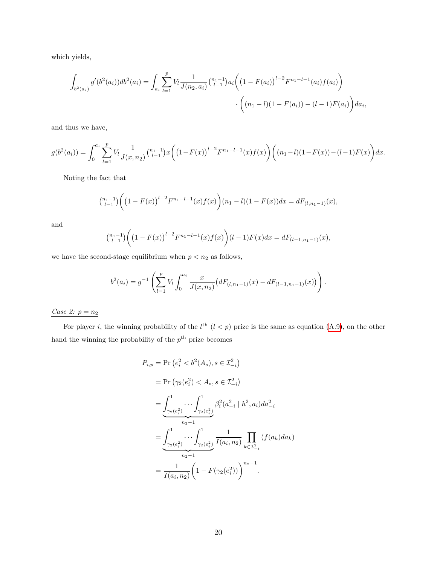which yields,

$$
\int_{b^2(a_i)} g'(b^2(a_i))db^2(a_i) = \int_{a_i} \sum_{l=1}^p V_l \frac{1}{J(n_2, a_i)} {n_1 - 1 \choose l-1} a_i \left( \left(1 - F(a_i)\right)^{l-2} F^{n_1 - l-1}(a_i) f(a_i) \right)
$$

$$
\cdot \left( (n_1 - l)(1 - F(a_i)) - (l-1)F(a_i) \right) da_i,
$$

and thus we have,

$$
g(b^{2}(a_{i})) = \int_{0}^{a_{i}} \sum_{l=1}^{p} V_{l} \frac{1}{J(x, n_{2})} {n_{l-1} \choose l-1} x \left( \left(1 - F(x)\right)^{l-2} F^{n_{1} - l - 1}(x) f(x) \right) \left( (n_{1} - l)(1 - F(x)) - (l - 1)F(x) \right) dx.
$$

Noting the fact that

$$
{\binom{n_1-1}{l-1}}\bigg(\big(1-F(x)\big)^{l-2}F^{n_1-l-1}(x)f(x)\bigg)(n_1-l)(1-F(x))dx=dF_{(l,n_1-1)}(x),
$$

and

$$
\binom{n_1-1}{l-1}\bigg(\big(1-F(x)\big)^{l-2}F^{n_1-l-1}(x)f(x)\bigg)(l-1)F(x)dx = dF_{(l-1,n_1-1)}(x),
$$

we have the second-stage equilibrium when  $p < n_2$  as follows,

$$
b^{2}(a_{i}) = g^{-1}\left(\sum_{l=1}^{p} V_{l} \int_{0}^{a_{i}} \frac{x}{J(x, n_{2})} \left(dF_{(l, n_{1}-1)}(x) - dF_{(l-1, n_{1}-1)}(x)\right)\right).
$$

## $\underline{Case~2:}~p=n_2$

For player *i*, the winning probability of the  $l^{\text{th}}$   $(l < p)$  prize is the same as equation  $(A.9)$ , on the other hand the winning the probability of the  $p^{\text{th}}$  prize becomes

$$
P_{i,p} = \Pr(e_i^2 < b^2(A_s), s \in \mathcal{I}_{-i}^2)
$$
\n
$$
= \Pr(\gamma_2(e_i^2) < A_s, s \in \mathcal{I}_{-i}^2)
$$
\n
$$
= \underbrace{\int_{\gamma_2(e_i^2)}^1 \cdots \int_{\gamma_2(e_i^2)}^1} _{n_2-1} \beta_i^2(a_{-i}^2 | h^2, a_i) da_{-i}^2
$$
\n
$$
= \underbrace{\int_{\gamma_2(e_i^2)}^1 \cdots \int_{\gamma_2(e_i^2)}^1} _{n_2-1} \frac{1}{I(a_i, n_2)} \prod_{k \in \mathcal{I}_{-i}^2} (f(a_k) da_k)
$$
\n
$$
= \frac{1}{I(a_i, n_2)} \left(1 - F(\gamma_2(e_i^2))\right)^{n_2-1}.
$$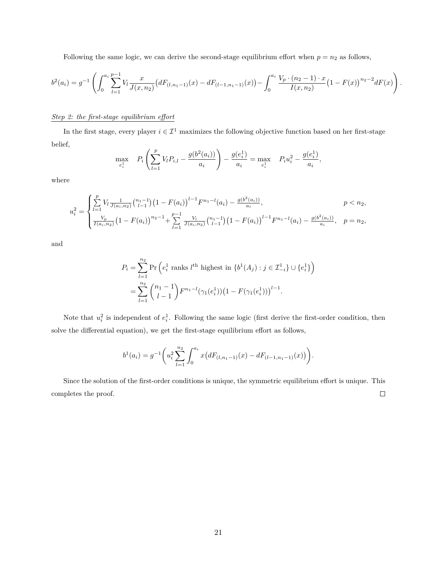Following the same logic, we can derive the second-stage equilibrium effort when  $p = n_2$  as follows,

$$
b^{2}(a_{i}) = g^{-1}\left(\int_{0}^{a_{i}} \sum_{l=1}^{p-1} V_{l} \frac{x}{J(x,n_{2})} \left(dF_{(l,n_{1}-1)}(x) - dF_{(l-1,n_{1}-1)}(x)\right) - \int_{0}^{a_{i}} \frac{V_{p} \cdot (n_{2}-1) \cdot x}{I(x,n_{2})} \left(1 - F(x)\right)^{n_{2}-2} dF(x)\right)
$$

*.*

#### *Step 2: the first-stage equilibrium effort*

In the first stage, every player  $i \in \mathcal{I}^1$  maximizes the following objective function based on her first-stage belief,

$$
\max_{e_i^1} \quad P_i \left( \sum_{l=1}^p V_l P_{i,l} - \frac{g(b^2(a_i))}{a_i} \right) - \frac{g(e_i^1)}{a_i} = \max_{e_i^1} \quad P_i u_i^2 - \frac{g(e_i^1)}{a_i},
$$

where

$$
u_i^2 = \begin{cases} \sum_{l=1}^p V_l \frac{1}{J(a_i, n_2)} {n_1-1 \choose l-1} \left(1 - F(a_i)\right)^{l-1} F^{n_1-l}(a_i) - \frac{g(b^2(a_i))}{a_i}, & p < n_2, \\ \frac{V_p}{I(a_i, n_2)} \left(1 - F(a_i)\right)^{n_2-1} + \sum_{l=1}^{p-1} \frac{V_l}{J(a_i, n_2)} {n_1-1 \choose l-1} \left(1 - F(a_i)\right)^{l-1} F^{n_1-l}(a_i) - \frac{g(b^2(a_i))}{a_i}, & p = n_2, \end{cases}
$$

and

$$
P_i = \sum_{l=1}^{n_2} \Pr\left(e_i^1 \text{ ranks } l^{\text{th}} \text{ highest in } \{b^1(A_j) : j \in \mathcal{I}_{-i}^1\} \cup \{e_i^1\}\right)
$$
  
= 
$$
\sum_{l=1}^{n_2} {n_1 - 1 \choose l-1} F^{n_1-l}(\gamma_1(e_i^1)) (1 - F(\gamma_1(e_i^1)))^{l-1}.
$$

Note that  $u_i^2$  is independent of  $e_i^1$ . Following the same logic (first derive the first-order condition, then solve the differential equation), we get the first-stage equilibrium effort as follows,

$$
b^{1}(a_{i}) = g^{-1}\left(u_{i}^{2}\sum_{l=1}^{n_{2}}\int_{0}^{a_{i}}x\left(dF_{(l,n_{1}-1)}(x) - dF_{(l-1,n_{1}-1)}(x)\right)\right).
$$

Since the solution of the first-order conditions is unique, the symmetric equilibrium effort is unique. This completes the proof.  $\Box$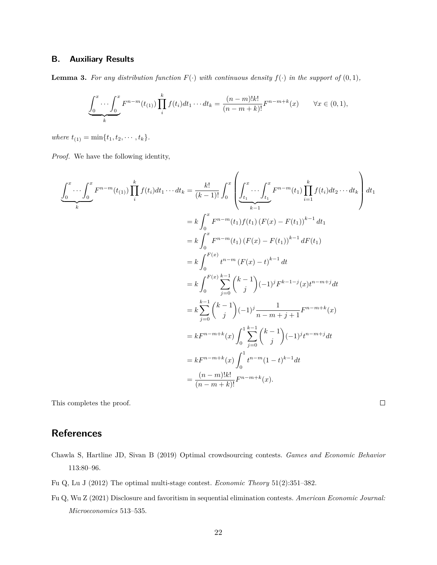### **B. Auxiliary Results**

<span id="page-21-3"></span>**Lemma 3.** For any distribution function  $F(\cdot)$  with continuous density  $f(\cdot)$  in the support of  $(0,1)$ *,* 

$$
\underbrace{\int_0^x \cdots \int_0^x} F^{n-m}(t_{(1)}) \prod_i^k f(t_i) dt_1 \cdots dt_k = \frac{(n-m)!k!}{(n-m+k)!} F^{n-m+k}(x) \qquad \forall x \in (0,1),
$$

 $where t_{(1)} = min{t_1, t_2, \cdots, t_k}.$ 

*Proof.* We have the following identity,

$$
\underbrace{\int_{0}^{x} \cdots \int_{0}^{x} F^{n-m}(t_{(1)}) \prod_{i}^{k} f(t_{i}) dt_{1} \cdots dt_{k}}_{k} = \frac{k!}{(k-1)!} \int_{0}^{x} \left( \underbrace{\int_{t_{1}}^{x} \cdots \int_{t_{1}}^{x} F^{n-m}(t_{1}) \prod_{i=1}^{k} f(t_{i}) dt_{2} \cdots dt_{k}}_{k-1} \right) dt_{1}
$$
\n
$$
= k \int_{0}^{x} F^{n-m}(t_{1}) f(t_{1}) (F(x) - F(t_{1}))^{k-1} dt_{1}
$$
\n
$$
= k \int_{0}^{x} F^{n-m}(t_{1}) (F(x) - F(t_{1}))^{k-1} dF(t_{1})
$$
\n
$$
= k \int_{0}^{F(x)} t^{n-m} (F(x) - t)^{k-1} dt
$$
\n
$$
= k \int_{0}^{F(x)} \sum_{j=0}^{k-1} {k-1 \choose j} (-1)^{j} F^{k-1-j}(x) t^{n-m+j} dt
$$
\n
$$
= k \sum_{j=0}^{k-1} {k-1 \choose j} (-1)^{j} \frac{1}{n-m+j+1} F^{n-m+k}(x)
$$
\n
$$
= k F^{n-m+k}(x) \int_{0}^{1} \sum_{j=0}^{k-1} {k-1 \choose j} (-1)^{j} t^{n-m+j} dt
$$
\n
$$
= k F^{n-m+k}(x) \int_{0}^{1} t^{n-m} (1-t)^{k-1} dt
$$
\n
$$
= \frac{(n-m)!k!}{(n-m+k)!} F^{n-m+k}(x).
$$

This completes the proof.

## **References**

- <span id="page-21-0"></span>Chawla S, Hartline JD, Sivan B (2019) Optimal crowdsourcing contests. *Games and Economic Behavior* 113:80–96.
- <span id="page-21-1"></span>Fu Q, Lu J (2012) The optimal multi-stage contest. *Economic Theory* 51(2):351–382.
- <span id="page-21-2"></span>Fu Q, Wu Z (2021) Disclosure and favoritism in sequential elimination contests. *American Economic Journal: Microeconomics* 513–535.

 $\Box$